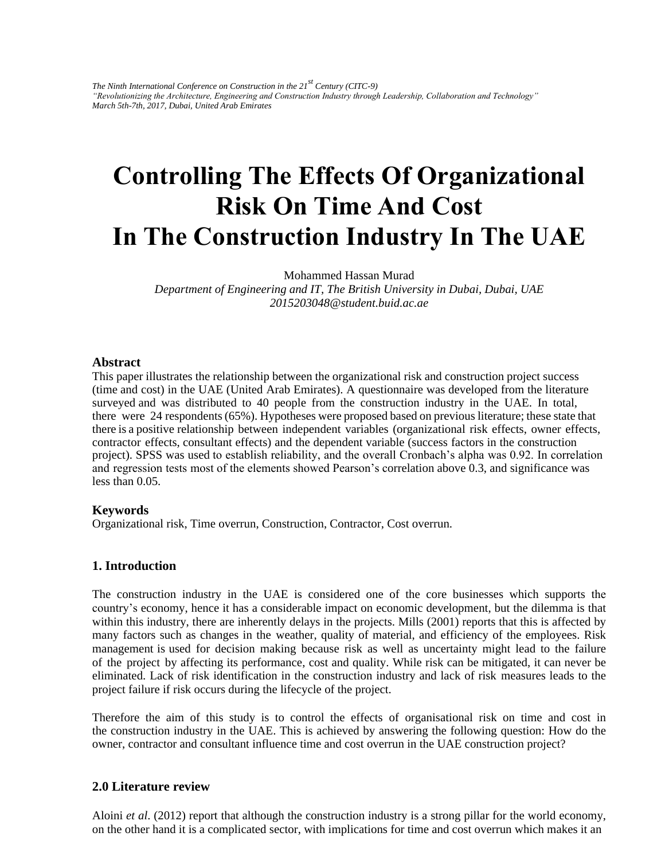*The Ninth International Conference on Construction in the 21st Century (CITC-9) "Revolutionizing the Architecture, Engineering and Construction Industry through Leadership, Collaboration and Technology" March 5th-7th, 2017, Dubai, United Arab Emirates* 

# **Controlling The Effects Of Organizational Risk On Time And Cost In The Construction Industry In The UAE**

Mohammed Hassan Murad

*Department of Engineering and IT, The British University in Dubai, Dubai, UAE 2015203048@student.buid.ac.ae* 

#### **Abstract**

This paper illustrates the relationship between the organizational risk and construction project success (time and cost) in the UAE (United Arab Emirates). A questionnaire was developed from the literature surveyed and was distributed to 40 people from the construction industry in the UAE. In total, there were 24 respondents (65%). Hypotheses were proposed based on previous literature; these state that there is a positive relationship between independent variables (organizational risk effects, owner effects, contractor effects, consultant effects) and the dependent variable (success factors in the construction project). SPSS was used to establish reliability, and the overall Cronbach's alpha was 0.92. In correlation and regression tests most of the elements showed Pearson's correlation above 0.3, and significance was less than 0.05.

#### **Keywords**

Organizational risk, Time overrun, Construction, Contractor, Cost overrun.

#### **1. Introduction**

The construction industry in the UAE is considered one of the core businesses which supports the country's economy, hence it has a considerable impact on economic development, but the dilemma is that within this industry, there are inherently delays in the projects. Mills (2001) reports that this is affected by many factors such as changes in the weather, quality of material, and efficiency of the employees. Risk management is used for decision making because risk as well as uncertainty might lead to the failure of the project by affecting its performance, cost and quality. While risk can be mitigated, it can never be eliminated. Lack of risk identification in the construction industry and lack of risk measures leads to the project failure if risk occurs during the lifecycle of the project.

Therefore the aim of this study is to control the effects of organisational risk on time and cost in the construction industry in the UAE. This is achieved by answering the following question: How do the owner, contractor and consultant influence time and cost overrun in the UAE construction project?

## **2.0 Literature review**

Aloini *et al*. (2012) report that although the construction industry is a strong pillar for the world economy, on the other hand it is a complicated sector, with implications for time and cost overrun which makes it an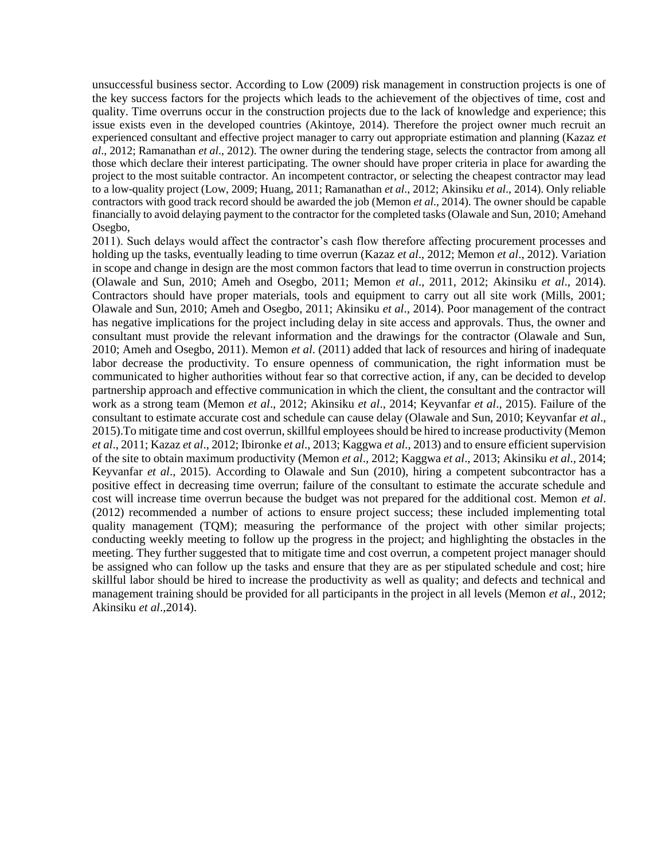unsuccessful business sector. According to Low (2009) risk management in construction projects is one of the key success factors for the projects which leads to the achievement of the objectives of time, cost and quality. Time overruns occur in the construction projects due to the lack of knowledge and experience; this issue exists even in the developed countries (Akintoye, 2014). Therefore the project owner much recruit an experienced consultant and effective project manager to carry out appropriate estimation and planning (Kazaz *et al*., 2012; Ramanathan *et al*., 2012). The owner during the tendering stage, selects the contractor from among all those which declare their interest participating. The owner should have proper criteria in place for awarding the project to the most suitable contractor. An incompetent contractor, or selecting the cheapest contractor may lead to a low-quality project (Low, 2009; Huang, 2011; Ramanathan *et al*., 2012; Akinsiku *et al*., 2014). Only reliable contractors with good track record should be awarded the job (Memon *et al*., 2014). The owner should be capable financially to avoid delaying payment to the contractor for the completed tasks (Olawale and Sun, 2010; Amehand Osegbo,

2011). Such delays would affect the contractor's cash flow therefore affecting procurement processes and holding up the tasks, eventually leading to time overrun (Kazaz *et al*., 2012; Memon *et al*., 2012). Variation in scope and change in design are the most common factors that lead to time overrun in construction projects (Olawale and Sun, 2010; Ameh and Osegbo, 2011; Memon *et al*., 2011, 2012; Akinsiku *et al*., 2014). Contractors should have proper materials, tools and equipment to carry out all site work (Mills, 2001; Olawale and Sun, 2010; Ameh and Osegbo, 2011; Akinsiku *et al*., 2014). Poor management of the contract has negative implications for the project including delay in site access and approvals. Thus, the owner and consultant must provide the relevant information and the drawings for the contractor (Olawale and Sun, 2010; Ameh and Osegbo, 2011). Memon *et al*. (2011) added that lack of resources and hiring of inadequate labor decrease the productivity. To ensure openness of communication, the right information must be communicated to higher authorities without fear so that corrective action, if any, can be decided to develop partnership approach and effective communication in which the client, the consultant and the contractor will work as a strong team (Memon *et al*., 2012; Akinsiku *et al*., 2014; Keyvanfar *et al*., 2015). Failure of the consultant to estimate accurate cost and schedule can cause delay (Olawale and Sun, 2010; Keyvanfar *et al*., 2015).To mitigate time and cost overrun, skillful employees should be hired to increase productivity (Memon *et al*., 2011; Kazaz *et al*., 2012; Ibironke *et al*., 2013; Kaggwa *et al*., 2013) and to ensure efficient supervision of the site to obtain maximum productivity (Memon *et al*., 2012; Kaggwa *et al*., 2013; Akinsiku *et al*., 2014; Keyvanfar *et al*., 2015). According to Olawale and Sun (2010), hiring a competent subcontractor has a positive effect in decreasing time overrun; failure of the consultant to estimate the accurate schedule and cost will increase time overrun because the budget was not prepared for the additional cost. Memon *et al*. (2012) recommended a number of actions to ensure project success; these included implementing total quality management (TQM); measuring the performance of the project with other similar projects; conducting weekly meeting to follow up the progress in the project; and highlighting the obstacles in the meeting. They further suggested that to mitigate time and cost overrun, a competent project manager should be assigned who can follow up the tasks and ensure that they are as per stipulated schedule and cost; hire skillful labor should be hired to increase the productivity as well as quality; and defects and technical and management training should be provided for all participants in the project in all levels (Memon *et al*., 2012; Akinsiku *et al*.,2014).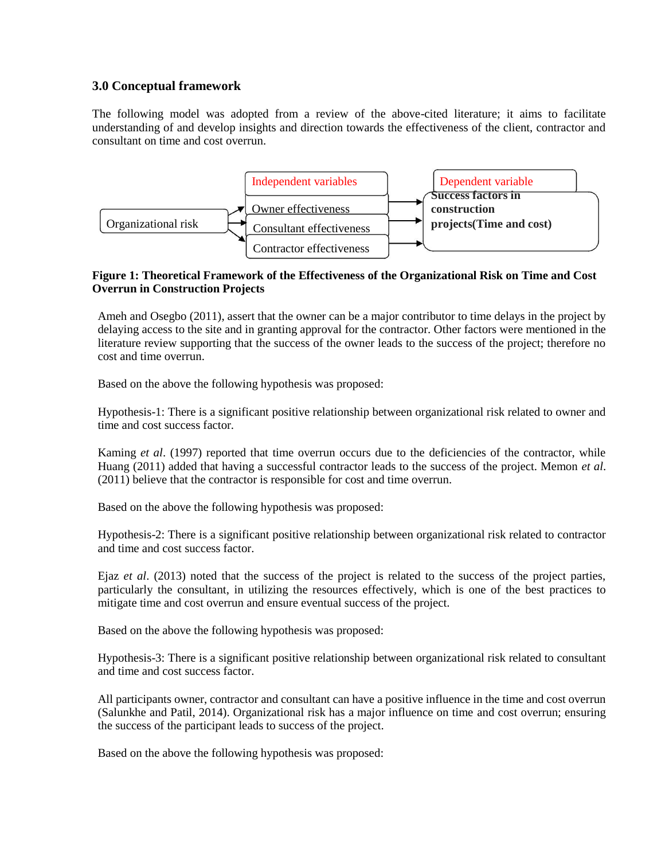# **3.0 Conceptual framework**

The following model was adopted from a review of the above-cited literature; it aims to facilitate understanding of and develop insights and direction towards the effectiveness of the client, contractor and consultant on time and cost overrun.



## **Figure 1: Theoretical Framework of the Effectiveness of the Organizational Risk on Time and Cost Overrun in Construction Projects**

Ameh and Osegbo (2011), assert that the owner can be a major contributor to time delays in the project by delaying access to the site and in granting approval for the contractor. Other factors were mentioned in the literature review supporting that the success of the owner leads to the success of the project; therefore no cost and time overrun.

Based on the above the following hypothesis was proposed:

Hypothesis-1: There is a significant positive relationship between organizational risk related to owner and time and cost success factor.

Kaming *et al*. (1997) reported that time overrun occurs due to the deficiencies of the contractor, while Huang (2011) added that having a successful contractor leads to the success of the project. Memon *et al*. (2011) believe that the contractor is responsible for cost and time overrun.

Based on the above the following hypothesis was proposed:

Hypothesis-2: There is a significant positive relationship between organizational risk related to contractor and time and cost success factor.

Ejaz *et al*. (2013) noted that the success of the project is related to the success of the project parties, particularly the consultant, in utilizing the resources effectively, which is one of the best practices to mitigate time and cost overrun and ensure eventual success of the project.

Based on the above the following hypothesis was proposed:

Hypothesis-3: There is a significant positive relationship between organizational risk related to consultant and time and cost success factor.

All participants owner, contractor and consultant can have a positive influence in the time and cost overrun (Salunkhe and Patil, 2014). Organizational risk has a major influence on time and cost overrun; ensuring the success of the participant leads to success of the project.

Based on the above the following hypothesis was proposed: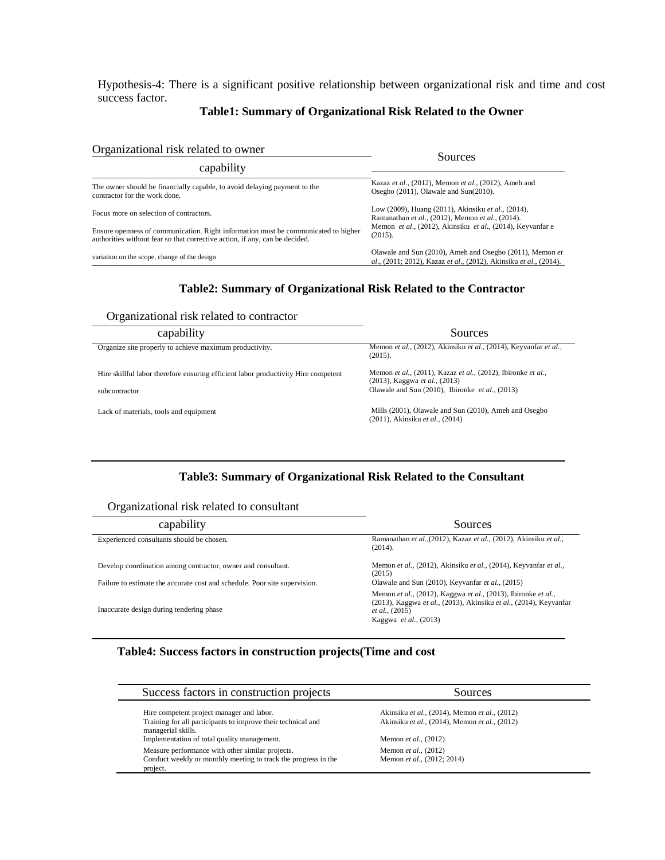Hypothesis-4: There is a significant positive relationship between organizational risk and time and cost success factor.

#### **Table1: Summary of Organizational Risk Related to the Owner**

| Organizational risk related to owner                                                                                                                              | Sources                                                                                                                       |  |
|-------------------------------------------------------------------------------------------------------------------------------------------------------------------|-------------------------------------------------------------------------------------------------------------------------------|--|
| capability                                                                                                                                                        |                                                                                                                               |  |
| The owner should be financially capable, to avoid delaying payment to the<br>contractor for the work done.                                                        | Kazaz et al., (2012), Memon et al., (2012), Ameh and<br>Osegbo (2011), Olawale and Sun(2010).                                 |  |
| Focus more on selection of contractors.                                                                                                                           | Low (2009), Huang (2011), Akinsiku et al., (2014),<br>Ramanathan et al., (2012), Memon et al., (2014).                        |  |
| Ensure openness of communication. Right information must be communicated to higher<br>authorities without fear so that corrective action, if any, can be decided. | Memon et al., (2012), Akinsiku et al., (2014), Keyvanfar e<br>(2015).                                                         |  |
| variation on the scope, change of the design                                                                                                                      | Olawale and Sun (2010), Ameh and Osegbo (2011), Memon et<br>al., (2011; 2012), Kazaz et al., (2012), Akinsiku et al., (2014). |  |

# **Table2: Summary of Organizational Risk Related to the Contractor**

Organizational risk related to contractor

| capability                                                                         | Sources                                                                                       |
|------------------------------------------------------------------------------------|-----------------------------------------------------------------------------------------------|
| Organize site properly to achieve maximum productivity.                            | Memon et al., (2012), Akinsiku et al., (2014), Keyvanfar et al.,<br>(2015).                   |
| Hire skillful labor therefore ensuring efficient labor productivity Hire competent | Memon et al., (2011), Kazaz et al., (2012), Ibironke et al.,<br>(2013), Kaggwa et al., (2013) |
| subcontractor                                                                      | Olawale and Sun $(2010)$ , Ibironke <i>et al.</i> , $(2013)$                                  |
| Lack of materials, tools and equipment                                             | Mills (2001), Olawale and Sun (2010), Ameh and Osegbo<br>(2011), Akinsiku et al., (2014)      |

#### **Table3: Summary of Organizational Risk Related to the Consultant**

#### Organizational risk related to consultant

 $\overline{\phantom{a}}$ 

| capability                                                                 | Sources                                                                                                                                                                               |
|----------------------------------------------------------------------------|---------------------------------------------------------------------------------------------------------------------------------------------------------------------------------------|
| Experienced consultants should be chosen.                                  | Ramanathan et al., (2012), Kazaz et al., (2012), Akinsiku et al.,<br>(2014).                                                                                                          |
| Develop coordination among contractor, owner and consultant.               | Memon et al., (2012), Akinsiku et al., (2014), Keyvanfar et al.,<br>(2015)                                                                                                            |
| Failure to estimate the accurate cost and schedule. Poor site supervision. | Olawale and Sun (2010), Keyvanfar et al., (2015)                                                                                                                                      |
| Inaccurate design during tendering phase                                   | Memon et al., (2012), Kaggwa et al., (2013), Ibironke et al.,<br>(2013), Kaggwa et al., (2013), Akinsiku et al., (2014), Keyvanfar<br><i>et al.</i> , (2015)<br>Kaggwa et al., (2013) |

# **Table4: Success factors in construction projects(Time and cost**

| Success factors in construction projects                                           | Sources                                       |
|------------------------------------------------------------------------------------|-----------------------------------------------|
| Hire competent project manager and labor.                                          | Akinsiku et al., (2014), Memon et al., (2012) |
| Training for all participants to improve their technical and<br>managerial skills. | Akinsiku et al., (2014), Memon et al., (2012) |
| Implementation of total quality management.                                        | Memon et al., (2012)                          |
| Measure performance with other similar projects.                                   | Memon et al., (2012)                          |
| Conduct weekly or monthly meeting to track the progress in the                     | Memon et al., (2012; 2014)                    |
| project.                                                                           |                                               |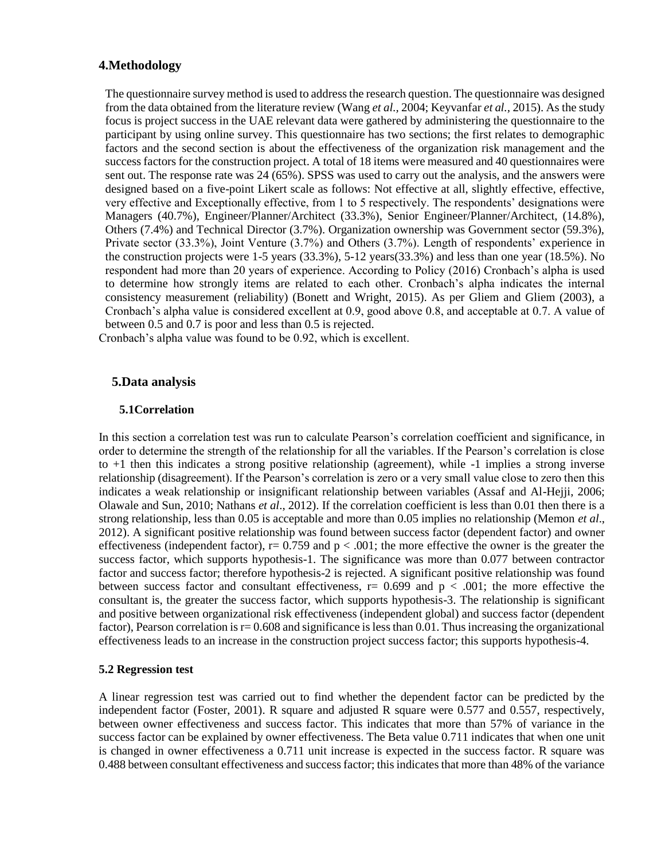# **4.Methodology**

The questionnaire survey method is used to address the research question. The questionnaire was designed from the data obtained from the literature review (Wang *et al.,* 2004; Keyvanfar *et al.,* 2015). As the study focus is project success in the UAE relevant data were gathered by administering the questionnaire to the participant by using online survey. This questionnaire has two sections; the first relates to demographic factors and the second section is about the effectiveness of the organization risk management and the success factors for the construction project. A total of 18 items were measured and 40 questionnaires were sent out. The response rate was 24 (65%). SPSS was used to carry out the analysis, and the answers were designed based on a five-point Likert scale as follows: Not effective at all, slightly effective, effective, very effective and Exceptionally effective, from 1 to 5 respectively. The respondents' designations were Managers (40.7%), Engineer/Planner/Architect (33.3%), Senior Engineer/Planner/Architect, (14.8%), Others (7.4%) and Technical Director (3.7%). Organization ownership was Government sector (59.3%), Private sector (33.3%), Joint Venture (3.7%) and Others (3.7%). Length of respondents' experience in the construction projects were 1-5 years (33.3%), 5-12 years(33.3%) and less than one year (18.5%). No respondent had more than 20 years of experience. According to Policy (2016) Cronbach's alpha is used to determine how strongly items are related to each other. Cronbach's alpha indicates the internal consistency measurement (reliability) (Bonett and Wright, 2015). As per Gliem and Gliem (2003), a Cronbach's alpha value is considered excellent at 0.9, good above 0.8, and acceptable at 0.7. A value of between 0.5 and 0.7 is poor and less than 0.5 is rejected.

Cronbach's alpha value was found to be 0.92, which is excellent.

#### **5.Data analysis**

#### **5.1Correlation**

In this section a correlation test was run to calculate Pearson's correlation coefficient and significance, in order to determine the strength of the relationship for all the variables. If the Pearson's correlation is close to +1 then this indicates a strong positive relationship (agreement), while -1 implies a strong inverse relationship (disagreement). If the Pearson's correlation is zero or a very small value close to zero then this indicates a weak relationship or insignificant relationship between variables (Assaf and Al-Hejji, 2006; Olawale and Sun, 2010; Nathans *et al*., 2012). If the correlation coefficient is less than 0.01 then there is a strong relationship, less than 0.05 is acceptable and more than 0.05 implies no relationship (Memon *et al*., 2012). A significant positive relationship was found between success factor (dependent factor) and owner effectiveness (independent factor),  $r = 0.759$  and  $p < .001$ ; the more effective the owner is the greater the success factor, which supports hypothesis-1. The significance was more than 0.077 between contractor factor and success factor; therefore hypothesis-2 is rejected. A significant positive relationship was found between success factor and consultant effectiveness,  $r= 0.699$  and  $p < .001$ ; the more effective the consultant is, the greater the success factor, which supports hypothesis-3. The relationship is significant and positive between organizational risk effectiveness (independent global) and success factor (dependent factor), Pearson correlation is  $r= 0.608$  and significance is less than 0.01. Thus increasing the organizational effectiveness leads to an increase in the construction project success factor; this supports hypothesis-4.

#### **5.2 Regression test**

A linear regression test was carried out to find whether the dependent factor can be predicted by the independent factor (Foster, 2001). R square and adjusted R square were 0.577 and 0.557, respectively, between owner effectiveness and success factor. This indicates that more than 57% of variance in the success factor can be explained by owner effectiveness. The Beta value 0.711 indicates that when one unit is changed in owner effectiveness a 0.711 unit increase is expected in the success factor. R square was 0.488 between consultant effectiveness and success factor; this indicates that more than 48% of the variance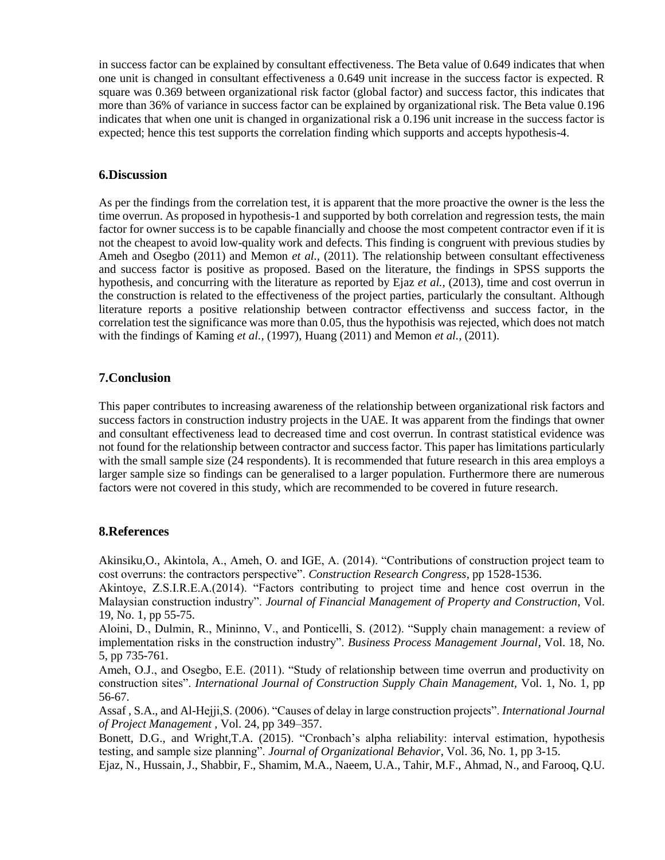in success factor can be explained by consultant effectiveness. The Beta value of 0.649 indicates that when one unit is changed in consultant effectiveness a 0.649 unit increase in the success factor is expected. R square was 0.369 between organizational risk factor (global factor) and success factor, this indicates that more than 36% of variance in success factor can be explained by organizational risk. The Beta value 0.196 indicates that when one unit is changed in organizational risk a 0.196 unit increase in the success factor is expected; hence this test supports the correlation finding which supports and accepts hypothesis-4.

# **6.Discussion**

As per the findings from the correlation test, it is apparent that the more proactive the owner is the less the time overrun. As proposed in hypothesis-1 and supported by both correlation and regression tests, the main factor for owner success is to be capable financially and choose the most competent contractor even if it is not the cheapest to avoid low-quality work and defects. This finding is congruent with previous studies by Ameh and Osegbo (2011) and Memon *et al.,* (2011). The relationship between consultant effectiveness and success factor is positive as proposed. Based on the literature, the findings in SPSS supports the hypothesis, and concurring with the literature as reported by Ejaz *et al.,* (2013), time and cost overrun in the construction is related to the effectiveness of the project parties, particularly the consultant. Although literature reports a positive relationship between contractor effectivenss and success factor, in the correlation test the significance was more than 0.05, thus the hypothisis was rejected, which does not match with the findings of Kaming *et al.,* (1997), Huang (2011) and Memon *et al.,* (2011).

# **7.Conclusion**

This paper contributes to increasing awareness of the relationship between organizational risk factors and success factors in construction industry projects in the UAE. It was apparent from the findings that owner and consultant effectiveness lead to decreased time and cost overrun. In contrast statistical evidence was not found for the relationship between contractor and success factor. This paper has limitations particularly with the small sample size (24 respondents). It is recommended that future research in this area employs a larger sample size so findings can be generalised to a larger population. Furthermore there are numerous factors were not covered in this study, which are recommended to be covered in future research.

# **8.References**

Akinsiku,O., Akintola, A., Ameh, O. and IGE, A. (2014). "Contributions of construction project team to cost overruns: the contractors perspective". *Construction Research Congress*, pp 1528-1536.

Akintoye, Z.S.I.R.E.A.(2014). "Factors contributing to project time and hence cost overrun in the Malaysian construction industry". *Journal of Financial Management of Property and Construction*, Vol. 19, No. 1, pp 55-75.

Aloini, D., Dulmin, R., Mininno, V., and Ponticelli, S. (2012). "Supply chain management: a review of implementation risks in the construction industry". *Business Process Management Journal*, Vol. 18, No. 5, pp 735-761.

Ameh, O.J., and Osegbo, E.E. (2011). "Study of relationship between time overrun and productivity on construction sites". *International Journal of Construction Supply Chain Management,* Vol. 1, No. 1, pp 56-67.

Assaf , S.A., and Al-Hejji,S. (2006). "Causes of delay in large construction projects". *International Journal of Project Management* , Vol. 24, pp 349–357.

Bonett, D.G., and Wright,T.A. (2015). "Cronbach's alpha reliability: interval estimation, hypothesis testing, and sample size planning". *Journal of Organizational Behavior*, Vol. 36, No. 1, pp 3-15.

Ejaz, N., Hussain, J., Shabbir, F., Shamim, M.A., Naeem, U.A., Tahir, M.F., Ahmad, N., and Farooq, Q.U.